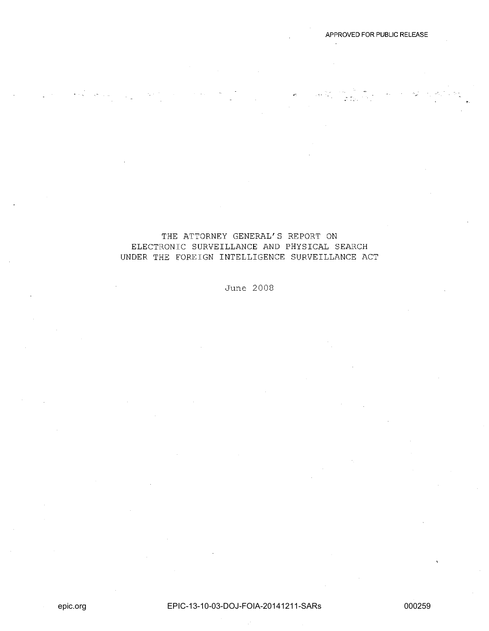# THE ATTORNEY GENERAL'S REPORT ON ELECTRONIC SURVEILLANCE AND PHYSICAL SEARCH UNDER THE FOREIGN INTELLIGENCE SURVEILLANCE ACT

June 2008

APPROVED FOR PUBLIC RELEASE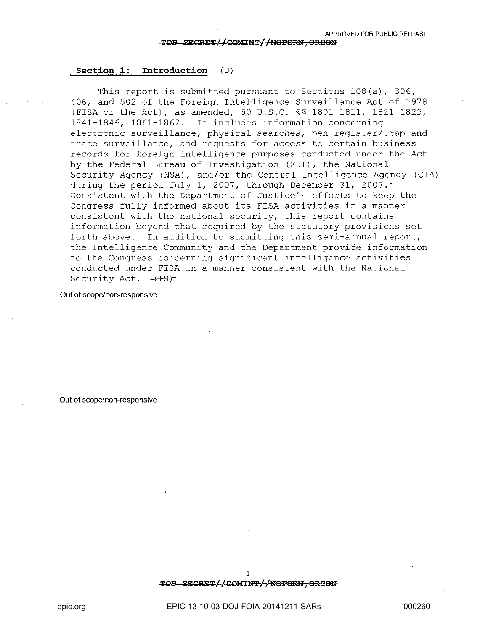#### **Section 1: Introduction** (U)

This report is submitted pursuant to Sections 108(a), 306, 406, and 502 of the Foreign Intelligence Surveillance Act of 1978 (FISA or the Act), as amended, 50 U.S.C. §§ 1801-1811, 1821-1829, 1841-1846, 1861-1862. It includes information concerning electronic surveillance, physical searches, pen register/trap and trace surveillance, and requests for access to certain business records for foreign intelligence purposes conducted under the Act by the Federal Bureau of Investigation (FBI), the National Security Agency (NSA) , and/or the Central Intelligence Agency (CIA) during the period July 1, 2007, through December 31, 2007. $^1$ Consistent with the Department of Justice's efforts to keep the Congress fully informed about its FISA activities in a manner consistent with the national security, this report contains information beyond that required by the statutory provisions set forth above. In addition to submitting this semi-annual report, the Intelligence Community and the Department provide information to the Congress concerning significant intelligence activities conducted under FISA in a manner consistent with the National Security Act.  $-4F5r$ 

Out **of** scope/non-responsive

Out **of** scope/non-responsive

TOP SECRET//COMINT//NOFORN, ORCON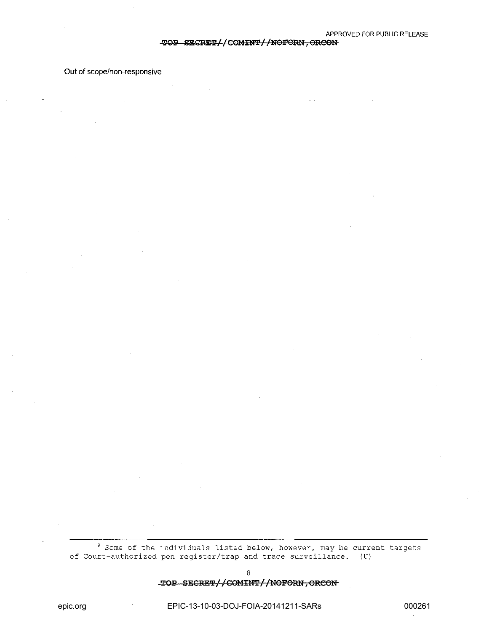## TOP SECRET//COMINT//NOFORN, ORCON

Out of scope/non-responsive

<sup>9</sup> Some of the individuals listed below, however, may be current targets of Court-authorized pen register/trap and trace surveillance. (U)

8

TOP SECRET//COMINT//NOFORN, ORCON

EPIC-13-10-03-DOJ-FOIA-20141211-SARs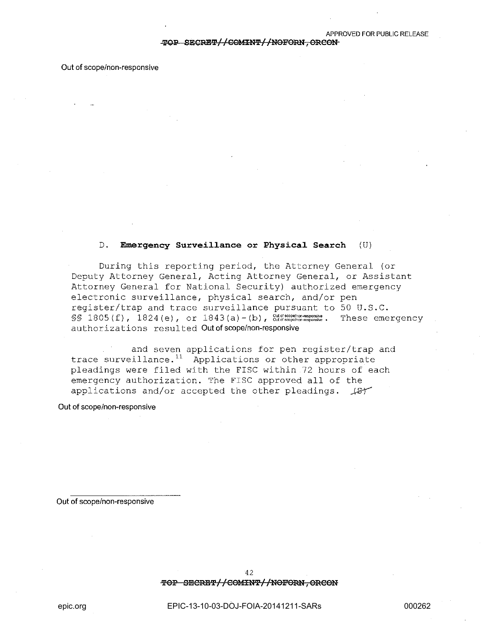#### **Out** of scope/non-responsive

## **D. Emergency Surveillance or Physical Search** (U)

During this reporting period, the Attorney General (or Deputy Attorney General, Acting Attorney General, or Assistant Attorney General for National Security) authorized emergency electronic surveillance, physical search, and/or pen register/trap and trace surveillance pursuant to 50 **U.S.C.**   $\S$ § 1805(f),  $1824(e)$ , or  $1843(a)-(b)$ ,  $\frac{Out of scopelnor. responisive}{Out of scopelnor. responisive}$ . These emergency author iza tions resul ted **Out of** scope/non-responsive

and seven applications for pen register/trap and trace surveillance.<sup>11</sup> Applications or other appropriate pleadings were filed with the FISC within 72 hours of each emergency authorization. The FISC approved all of the applications and/or accepted the other pleadings.  $\sqrt{8}T$ 

**Out of** scope/non-responsive

**Out of** scope/non-responsive

42

TOP SECRET//COMINT//NOFORN, ORCON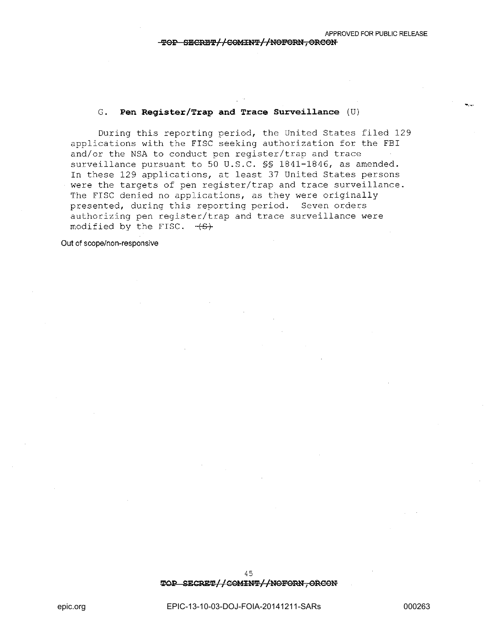$\ddotsc$ 

## **G. I?en Register/Trap and Trace Survei11ance** (U)

During this reporting period, the United States filed 129 applications with the FISC seeking authorization for the FBI and/or the NSA to conduct pen register/trap and trace surveillance pursuant to 50 **U.S.C.** §§ 1841-1846, as amended. In these 129 applications, at least 37 United States persons were the targets of pen register/trap and trace surveillance. The FISC denied no applications, as they were originally presented, during this reporting period. Seven orders authorizing pen register/trap and trace surveillance were modified by the FISC.  $-\left( S\right)$ 

**Out** of scope/non-responsive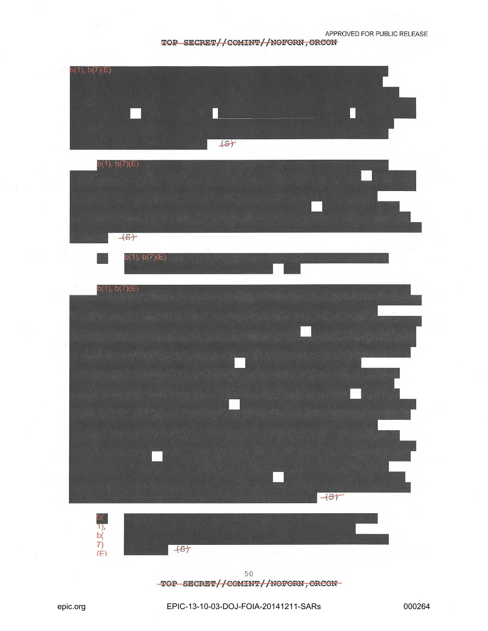# TOP SECRET//COMINT//NOFORN, ORCON



TOP SECRET//COMINT//NOFORN, ORCON-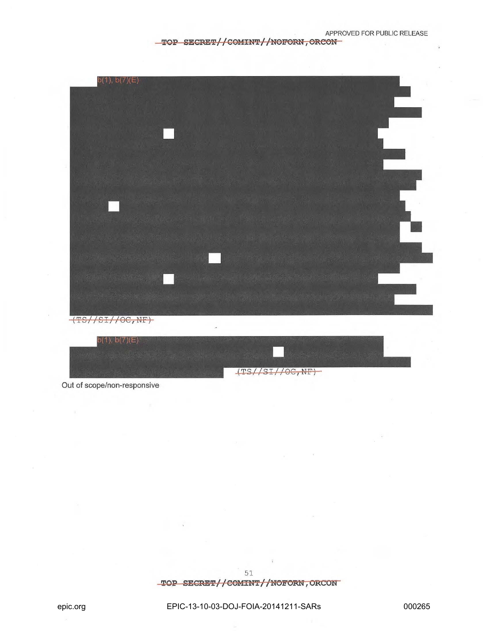## TOP SECRET//COMINT//NOFORN, ORCON-



Out of scope/non-responsive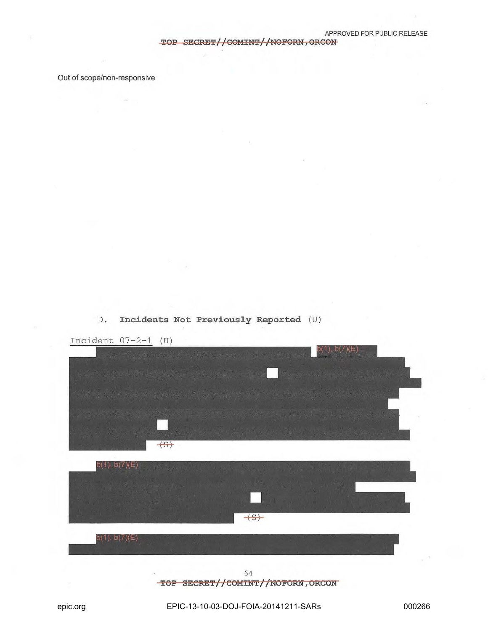TOP SECRET//COMINT//NOFORN, ORCON

Out of scope/non-responsive





TOP SECRET//COMINT//NOFORN, ORCON